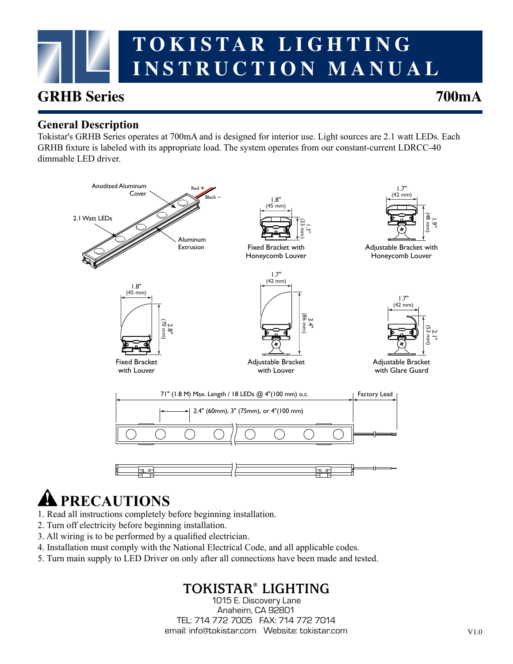# **TOKISTAR LIGHTING INSTRUCTION MANUAL**

### **GRHB Series 700mA**

#### **General Description**

Tokistar's GRHB Series operates at 700mA and is designed for interior use. Light sources are 2.1 watt LEDs. Each GRHB fixture is labeled with its appropriate load. The system operates from our constant-current LDRCC-40 dimmable LED driver.



## **PRECAUTIONS**

- 1. Read all instructions completely before beginning installation.
- 2. Turn off electricity before beginning installation.
- 3. All wiring is to be performed by a qualified electrician.
- 4. Installation must comply with the National Electrical Code, and all applicable codes.
- 5. Turn main supply to LED Driver on only after all connections have been made and tested.

### **TOKISTAR® LIGHTING**

1015 E. Discovery Lane Anaheim, CA 92801 TEL: 714 772 7005 FAX: 714 772 7014 email: info@tokistar.com Website: tokistar.com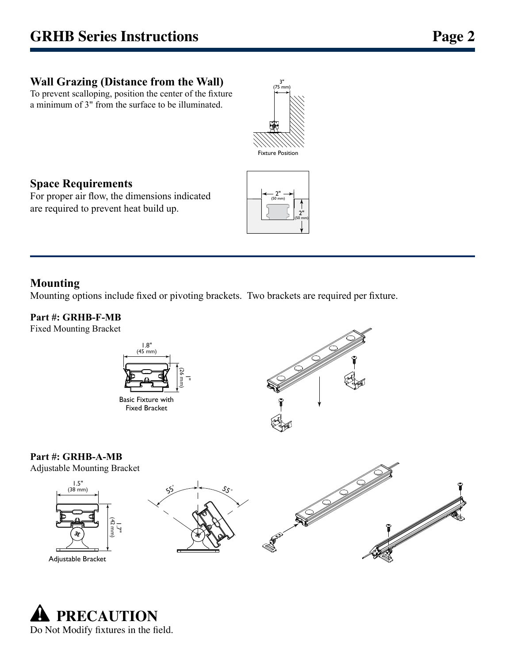#### **Wall Grazing (Distance from the Wall)**

To prevent scalloping, position the center of the fixture a minimum of 3" from the surface to be illuminated.



#### **Space Requirements**

For proper air flow, the dimensions indicated are required to prevent heat build up.



#### **Mounting**

Mounting options include fixed or pivoting brackets. Two brackets are required per fixture.

#### **Part #: GRHB-F-MB**

Fixed Mounting Bracket





#### **Part #: GRHB-A-MB**

Adjustable Mounting Bracket







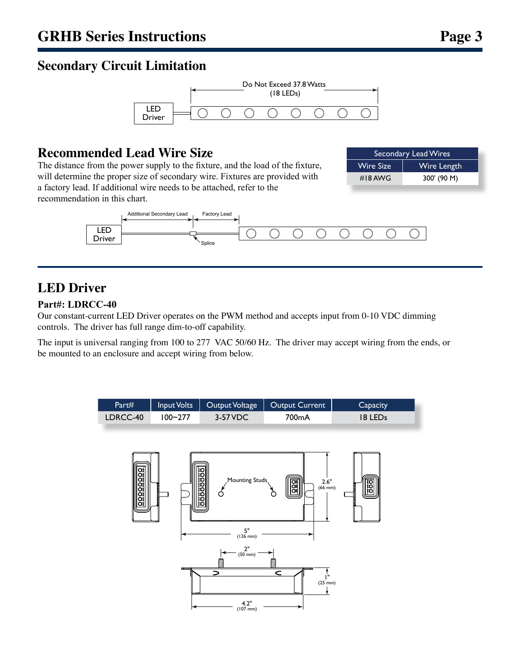#### **Secondary Circuit Limitation**



#### **Recommended Lead Wire Size**

The distance from the power supply to the fixture, and the load of the fixture, will determine the proper size of secondary wire. Fixtures are provided with a factory lead. If additional wire needs to be attached, refer to the recommendation in this chart.

| Secondary Lead Wires |             |
|----------------------|-------------|
| <b>Wire Size</b>     | Wire Length |
| #18 AWG              | 300' (90 M) |



### **LED Driver**

#### **Part#: LDRCC-40**

Our constant-current LED Driver operates on the PWM method and accepts input from 0-10 VDC dimming controls. The driver has full range dim-to-off capability.

The input is universal ranging from 100 to 277 VAC 50/60 Hz. The driver may accept wiring from the ends, or be mounted to an enclosure and accept wiring from below.